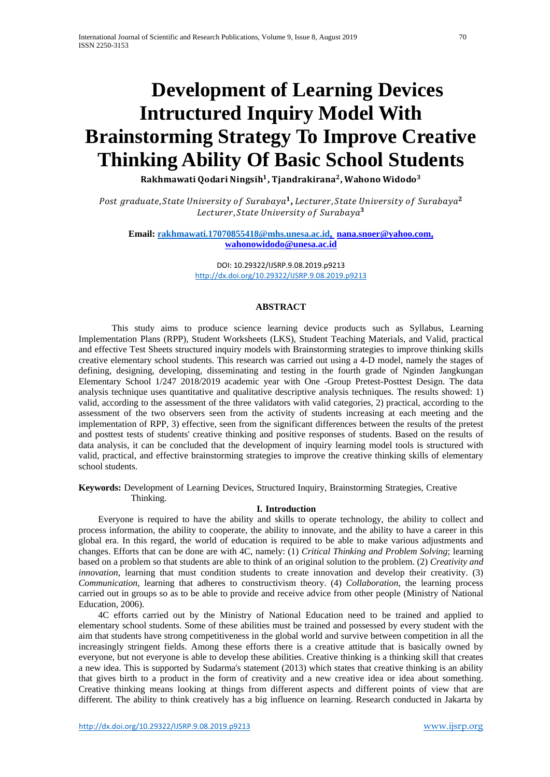# **Development of Learning Devices Intructured Inquiry Model With Brainstorming Strategy To Improve Creative Thinking Ability Of Basic School Students**

Rakhmawati Qodari Ningsih<sup>1</sup>, Tjandrakirana<sup>2</sup>, Wahono Widodo<sup>3</sup>

Post graduate, State University of Surabaya<sup>1</sup>, Lecturer, State University of Surabaya<sup>2</sup> Lecturer, State University of Surabaya<sup>3</sup>

**Email: [rakhmawati.17070855418@mhs.unesa.ac.id,](mailto:rakhmawati.17070855418@mhs.unesa.ac.id) [nana.](mailto:Waspodosubroto@unesa.ac.id)snoer@yahoo.com, wahonowidodo@unesa.ac.id**

> DOI: 10.29322/IJSRP.9.08.2019.p9213 <http://dx.doi.org/10.29322/IJSRP.9.08.2019.p9213>

## **ABSTRACT**

This study aims to produce science learning device products such as Syllabus, Learning Implementation Plans (RPP), Student Worksheets (LKS), Student Teaching Materials, and Valid, practical and effective Test Sheets structured inquiry models with Brainstorming strategies to improve thinking skills creative elementary school students. This research was carried out using a 4-D model, namely the stages of defining, designing, developing, disseminating and testing in the fourth grade of Nginden Jangkungan Elementary School 1/247 2018/2019 academic year with One -Group Pretest-Posttest Design. The data analysis technique uses quantitative and qualitative descriptive analysis techniques. The results showed: 1) valid, according to the assessment of the three validators with valid categories, 2) practical, according to the assessment of the two observers seen from the activity of students increasing at each meeting and the implementation of RPP, 3) effective, seen from the significant differences between the results of the pretest and posttest tests of students' creative thinking and positive responses of students. Based on the results of data analysis, it can be concluded that the development of inquiry learning model tools is structured with valid, practical, and effective brainstorming strategies to improve the creative thinking skills of elementary school students.

**Keywords:** Development of Learning Devices, Structured Inquiry, Brainstorming Strategies, Creative Thinking.

### **I. Introduction**

Everyone is required to have the ability and skills to operate technology, the ability to collect and process information, the ability to cooperate, the ability to innovate, and the ability to have a career in this global era. In this regard, the world of education is required to be able to make various adjustments and changes. Efforts that can be done are with 4C, namely: (1) *Critical Thinking and Problem Solving*; learning based on a problem so that students are able to think of an original solution to the problem. (2) *Creativity and innovation*, learning that must condition students to create innovation and develop their creativity. (3) *Communication*, learning that adheres to constructivism theory. (4) *Collaboration*, the learning process carried out in groups so as to be able to provide and receive advice from other people (Ministry of National Education, 2006).

4C efforts carried out by the Ministry of National Education need to be trained and applied to elementary school students. Some of these abilities must be trained and possessed by every student with the aim that students have strong competitiveness in the global world and survive between competition in all the increasingly stringent fields. Among these efforts there is a creative attitude that is basically owned by everyone, but not everyone is able to develop these abilities. Creative thinking is a thinking skill that creates a new idea. This is supported by Sudarma's statement (2013) which states that creative thinking is an ability that gives birth to a product in the form of creativity and a new creative idea or idea about something. Creative thinking means looking at things from different aspects and different points of view that are different. The ability to think creatively has a big influence on learning. Research conducted in Jakarta by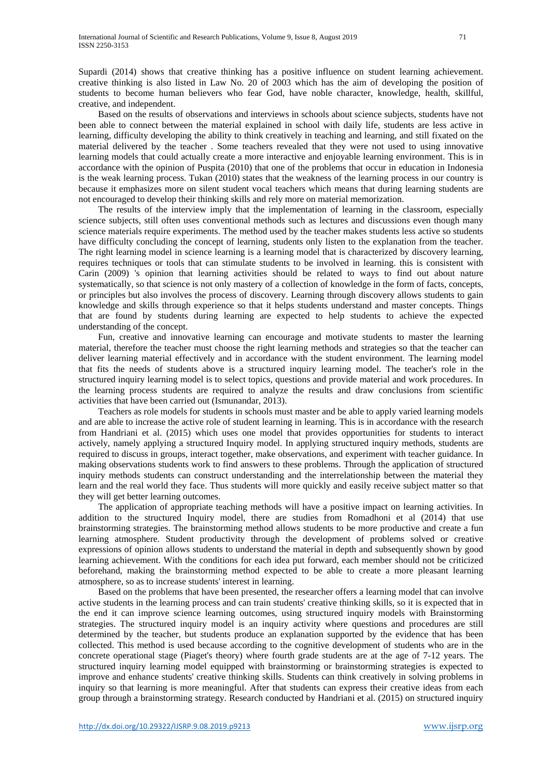Supardi (2014) shows that creative thinking has a positive influence on student learning achievement. creative thinking is also listed in Law No. 20 of 2003 which has the aim of developing the position of students to become human believers who fear God, have noble character, knowledge, health, skillful, creative, and independent.

Based on the results of observations and interviews in schools about science subjects, students have not been able to connect between the material explained in school with daily life, students are less active in learning, difficulty developing the ability to think creatively in teaching and learning, and still fixated on the material delivered by the teacher . Some teachers revealed that they were not used to using innovative learning models that could actually create a more interactive and enjoyable learning environment. This is in accordance with the opinion of Puspita (2010) that one of the problems that occur in education in Indonesia is the weak learning process. Tukan (2010) states that the weakness of the learning process in our country is because it emphasizes more on silent student vocal teachers which means that during learning students are not encouraged to develop their thinking skills and rely more on material memorization.

The results of the interview imply that the implementation of learning in the classroom, especially science subjects, still often uses conventional methods such as lectures and discussions even though many science materials require experiments. The method used by the teacher makes students less active so students have difficulty concluding the concept of learning, students only listen to the explanation from the teacher. The right learning model in science learning is a learning model that is characterized by discovery learning, requires techniques or tools that can stimulate students to be involved in learning. this is consistent with Carin (2009) 's opinion that learning activities should be related to ways to find out about nature systematically, so that science is not only mastery of a collection of knowledge in the form of facts, concepts, or principles but also involves the process of discovery. Learning through discovery allows students to gain knowledge and skills through experience so that it helps students understand and master concepts. Things that are found by students during learning are expected to help students to achieve the expected understanding of the concept.

Fun, creative and innovative learning can encourage and motivate students to master the learning material, therefore the teacher must choose the right learning methods and strategies so that the teacher can deliver learning material effectively and in accordance with the student environment. The learning model that fits the needs of students above is a structured inquiry learning model. The teacher's role in the structured inquiry learning model is to select topics, questions and provide material and work procedures. In the learning process students are required to analyze the results and draw conclusions from scientific activities that have been carried out (Ismunandar, 2013).

Teachers as role models for students in schools must master and be able to apply varied learning models and are able to increase the active role of student learning in learning. This is in accordance with the research from Handriani et al. (2015) which uses one model that provides opportunities for students to interact actively, namely applying a structured Inquiry model. In applying structured inquiry methods, students are required to discuss in groups, interact together, make observations, and experiment with teacher guidance. In making observations students work to find answers to these problems. Through the application of structured inquiry methods students can construct understanding and the interrelationship between the material they learn and the real world they face. Thus students will more quickly and easily receive subject matter so that they will get better learning outcomes.

The application of appropriate teaching methods will have a positive impact on learning activities. In addition to the structured Inquiry model, there are studies from Romadhoni et al (2014) that use brainstorming strategies. The brainstorming method allows students to be more productive and create a fun learning atmosphere. Student productivity through the development of problems solved or creative expressions of opinion allows students to understand the material in depth and subsequently shown by good learning achievement. With the conditions for each idea put forward, each member should not be criticized beforehand, making the brainstorming method expected to be able to create a more pleasant learning atmosphere, so as to increase students' interest in learning.

Based on the problems that have been presented, the researcher offers a learning model that can involve active students in the learning process and can train students' creative thinking skills, so it is expected that in the end it can improve science learning outcomes, using structured inquiry models with Brainstorming strategies. The structured inquiry model is an inquiry activity where questions and procedures are still determined by the teacher, but students produce an explanation supported by the evidence that has been collected. This method is used because according to the cognitive development of students who are in the concrete operational stage (Piaget's theory) where fourth grade students are at the age of 7-12 years. The structured inquiry learning model equipped with brainstorming or brainstorming strategies is expected to improve and enhance students' creative thinking skills. Students can think creatively in solving problems in inquiry so that learning is more meaningful. After that students can express their creative ideas from each group through a brainstorming strategy. Research conducted by Handriani et al. (2015) on structured inquiry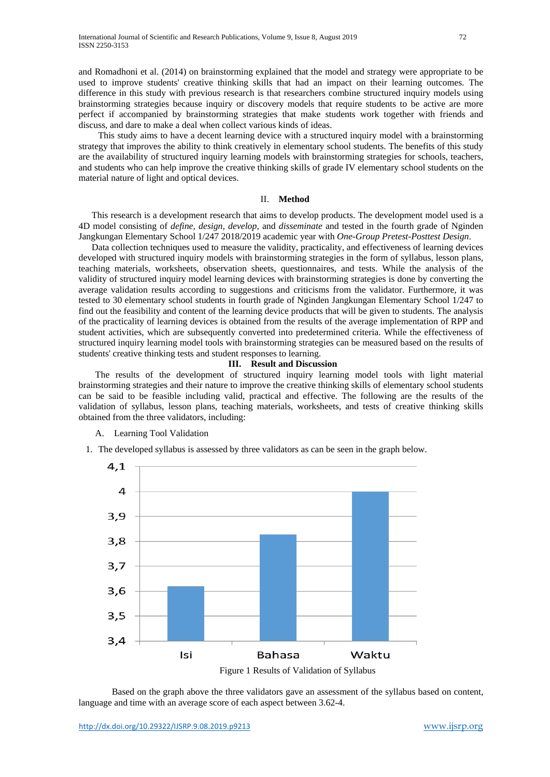and Romadhoni et al. (2014) on brainstorming explained that the model and strategy were appropriate to be used to improve students' creative thinking skills that had an impact on their learning outcomes. The difference in this study with previous research is that researchers combine structured inquiry models using brainstorming strategies because inquiry or discovery models that require students to be active are more perfect if accompanied by brainstorming strategies that make students work together with friends and discuss, and dare to make a deal when collect various kinds of ideas.

This study aims to have a decent learning device with a structured inquiry model with a brainstorming strategy that improves the ability to think creatively in elementary school students. The benefits of this study are the availability of structured inquiry learning models with brainstorming strategies for schools, teachers, and students who can help improve the creative thinking skills of grade IV elementary school students on the material nature of light and optical devices.

## II. **Method**

This research is a development research that aims to develop products. The development model used is a 4D model consisting of *define, design, develop*, and *disseminate* and tested in the fourth grade of Nginden Jangkungan Elementary School 1/247 2018/2019 academic year with *One-Group Pretest-Posttest Design*.

Data collection techniques used to measure the validity, practicality, and effectiveness of learning devices developed with structured inquiry models with brainstorming strategies in the form of syllabus, lesson plans, teaching materials, worksheets, observation sheets, questionnaires, and tests. While the analysis of the validity of structured inquiry model learning devices with brainstorming strategies is done by converting the average validation results according to suggestions and criticisms from the validator. Furthermore, it was tested to 30 elementary school students in fourth grade of Nginden Jangkungan Elementary School 1/247 to find out the feasibility and content of the learning device products that will be given to students. The analysis of the practicality of learning devices is obtained from the results of the average implementation of RPP and student activities, which are subsequently converted into predetermined criteria. While the effectiveness of structured inquiry learning model tools with brainstorming strategies can be measured based on the results of students' creative thinking tests and student responses to learning.

#### **III. Result and Discussion**

The results of the development of structured inquiry learning model tools with light material brainstorming strategies and their nature to improve the creative thinking skills of elementary school students can be said to be feasible including valid, practical and effective. The following are the results of the validation of syllabus, lesson plans, teaching materials, worksheets, and tests of creative thinking skills obtained from the three validators, including:

# A. Learning Tool Validation

1. The developed syllabus is assessed by three validators as can be seen in the graph below.



Based on the graph above the three validators gave an assessment of the syllabus based on content, language and time with an average score of each aspect between 3.62-4.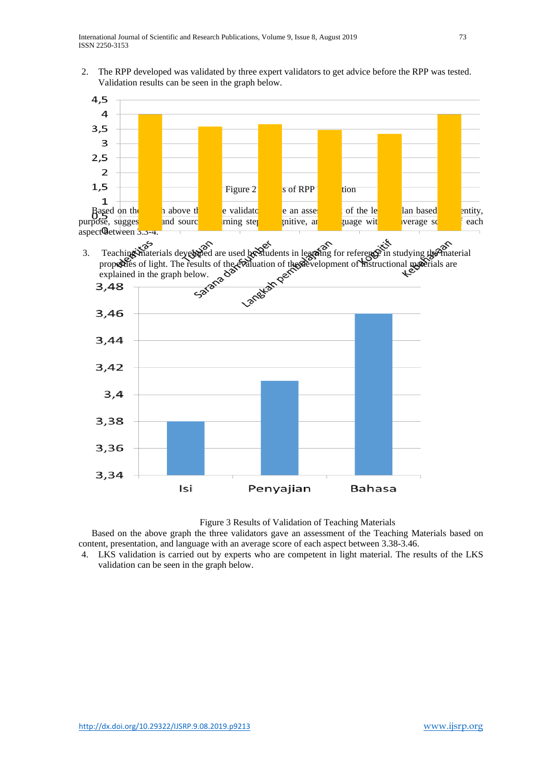2. The RPP developed was validated by three expert validators to get advice before the RPP was tested. Validation results can be seen in the graph below.



Figure 3 Results of Validation of Teaching Materials

Based on the above graph the three validators gave an assessment of the Teaching Materials based on content, presentation, and language with an average score of each aspect between 3.38-3.46.

4. LKS validation is carried out by experts who are competent in light material. The results of the LKS validation can be seen in the graph below.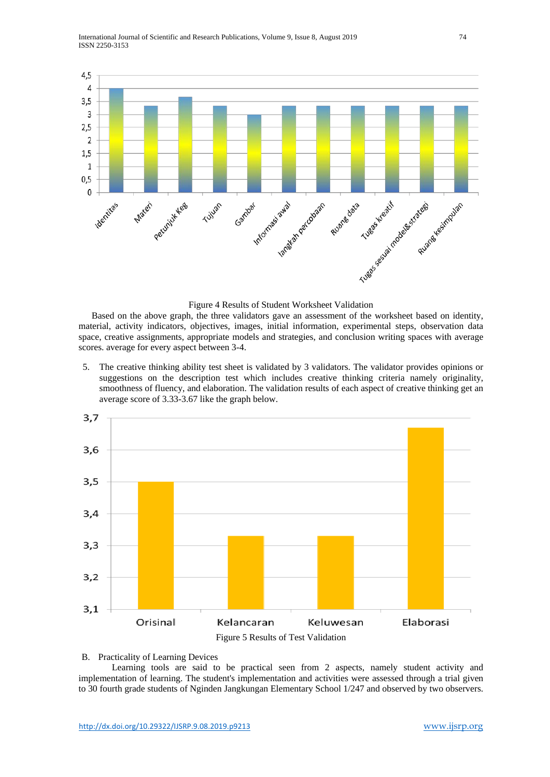

Figure 4 Results of Student Worksheet Validation

Based on the above graph, the three validators gave an assessment of the worksheet based on identity, material, activity indicators, objectives, images, initial information, experimental steps, observation data space, creative assignments, appropriate models and strategies, and conclusion writing spaces with average scores. average for every aspect between 3-4.

5. The creative thinking ability test sheet is validated by 3 validators. The validator provides opinions or suggestions on the description test which includes creative thinking criteria namely originality, smoothness of fluency, and elaboration. The validation results of each aspect of creative thinking get an average score of 3.33-3.67 like the graph below.



#### B. Practicality of Learning Devices

Learning tools are said to be practical seen from 2 aspects, namely student activity and implementation of learning. The student's implementation and activities were assessed through a trial given to 30 fourth grade students of Nginden Jangkungan Elementary School 1/247 and observed by two observers.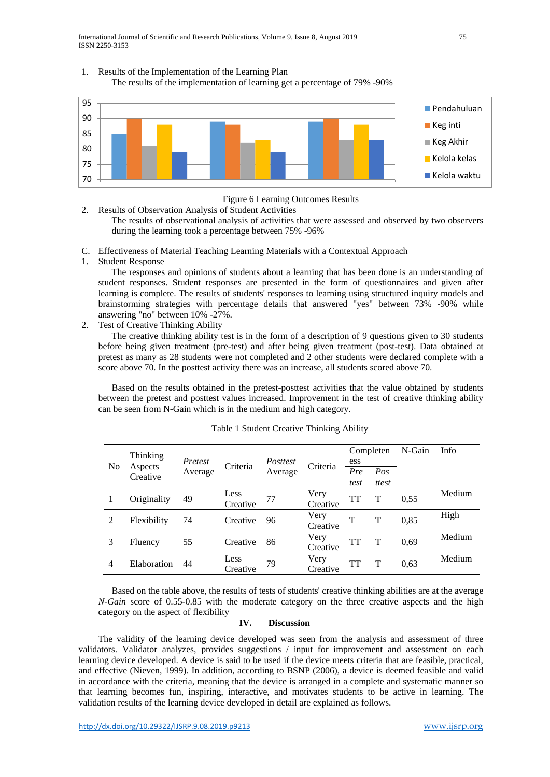International Journal of Scientific and Research Publications, Volume 9, Issue 8, August 2019 75 ISSN 2250-3153

## 1. Results of the Implementation of the Learning Plan

The results of the implementation of learning get a percentage of 79% -90%



Figure 6 Learning Outcomes Results

2. Results of Observation Analysis of Student Activities The results of observational analysis of activities that were assessed and observed by two observers during the learning took a percentage between 75% -96%

- C. Effectiveness of Material Teaching Learning Materials with a Contextual Approach
- 1. Student Response

The responses and opinions of students about a learning that has been done is an understanding of student responses. Student responses are presented in the form of questionnaires and given after learning is complete. The results of students' responses to learning using structured inquiry models and brainstorming strategies with percentage details that answered "yes" between 73% -90% while answering "no" between 10% -27%.

2. Test of Creative Thinking Ability

The creative thinking ability test is in the form of a description of 9 questions given to 30 students before being given treatment (pre-test) and after being given treatment (post-test). Data obtained at pretest as many as 28 students were not completed and 2 other students were declared complete with a score above 70. In the posttest activity there was an increase, all students scored above 70.

Based on the results obtained in the pretest-posttest activities that the value obtained by students between the pretest and posttest values increased. Improvement in the test of creative thinking ability can be seen from N-Gain which is in the medium and high category.

| N <sub>0</sub> | Thinking<br>Aspects<br>Creative | Pretest<br>Average | Criteria | <i>Posttest</i><br>Average | Criteria | Completen |              | N-Gain | Info   |
|----------------|---------------------------------|--------------------|----------|----------------------------|----------|-----------|--------------|--------|--------|
|                |                                 |                    |          |                            |          | ess       |              |        |        |
|                |                                 |                    |          |                            |          | Pre       | Pos          |        |        |
|                |                                 |                    |          |                            |          | test      | ttest        |        |        |
|                | Originality                     | 49                 | Less     | 77                         | Very     | TT        | T            | 0,55   | Medium |
|                |                                 |                    | Creative |                            | Creative |           |              |        |        |
| 2              | Flexibility                     | 74                 | Creative | 96                         | Very     | T         | T            | 0,85   | High   |
|                |                                 |                    |          |                            | Creative |           |              |        |        |
| 3              | Fluency                         | 55                 | Creative | 86                         | Very     | TT        | $\mathsf{T}$ | 0,69   | Medium |
|                |                                 |                    |          |                            | Creative |           |              |        |        |
| $\overline{4}$ | Elaboration                     | 44                 | Less     | 79                         | Very     | TT        | $\mathbf T$  | 0.63   | Medium |
|                |                                 |                    | Creative |                            | Creative |           |              |        |        |

#### Table 1 Student Creative Thinking Ability

Based on the table above, the results of tests of students' creative thinking abilities are at the average *N-Gain* score of 0.55-0.85 with the moderate category on the three creative aspects and the high category on the aspect of flexibility

## **IV. Discussion**

The validity of the learning device developed was seen from the analysis and assessment of three validators. Validator analyzes, provides suggestions / input for improvement and assessment on each learning device developed. A device is said to be used if the device meets criteria that are feasible, practical, and effective (Nieven, 1999). In addition, according to BSNP (2006), a device is deemed feasible and valid in accordance with the criteria, meaning that the device is arranged in a complete and systematic manner so that learning becomes fun, inspiring, interactive, and motivates students to be active in learning. The validation results of the learning device developed in detail are explained as follows.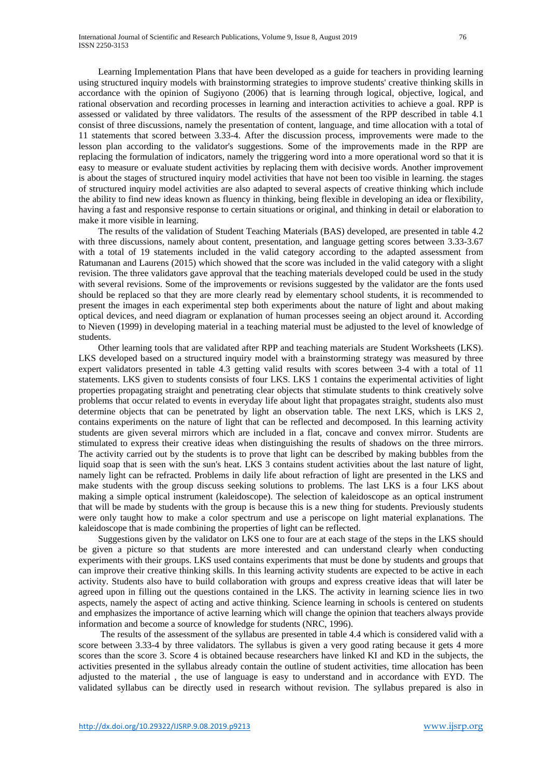Learning Implementation Plans that have been developed as a guide for teachers in providing learning using structured inquiry models with brainstorming strategies to improve students' creative thinking skills in accordance with the opinion of Sugiyono (2006) that is learning through logical, objective, logical, and rational observation and recording processes in learning and interaction activities to achieve a goal. RPP is assessed or validated by three validators. The results of the assessment of the RPP described in table 4.1 consist of three discussions, namely the presentation of content, language, and time allocation with a total of 11 statements that scored between 3.33-4. After the discussion process, improvements were made to the lesson plan according to the validator's suggestions. Some of the improvements made in the RPP are replacing the formulation of indicators, namely the triggering word into a more operational word so that it is easy to measure or evaluate student activities by replacing them with decisive words. Another improvement is about the stages of structured inquiry model activities that have not been too visible in learning. the stages of structured inquiry model activities are also adapted to several aspects of creative thinking which include the ability to find new ideas known as fluency in thinking, being flexible in developing an idea or flexibility, having a fast and responsive response to certain situations or original, and thinking in detail or elaboration to make it more visible in learning.

The results of the validation of Student Teaching Materials (BAS) developed, are presented in table 4.2 with three discussions, namely about content, presentation, and language getting scores between 3.33-3.67 with a total of 19 statements included in the valid category according to the adapted assessment from Ratumanan and Laurens (2015) which showed that the score was included in the valid category with a slight revision. The three validators gave approval that the teaching materials developed could be used in the study with several revisions. Some of the improvements or revisions suggested by the validator are the fonts used should be replaced so that they are more clearly read by elementary school students, it is recommended to present the images in each experimental step both experiments about the nature of light and about making optical devices, and need diagram or explanation of human processes seeing an object around it. According to Nieven (1999) in developing material in a teaching material must be adjusted to the level of knowledge of students.

Other learning tools that are validated after RPP and teaching materials are Student Worksheets (LKS). LKS developed based on a structured inquiry model with a brainstorming strategy was measured by three expert validators presented in table 4.3 getting valid results with scores between 3-4 with a total of 11 statements. LKS given to students consists of four LKS. LKS 1 contains the experimental activities of light properties propagating straight and penetrating clear objects that stimulate students to think creatively solve problems that occur related to events in everyday life about light that propagates straight, students also must determine objects that can be penetrated by light an observation table. The next LKS, which is LKS 2, contains experiments on the nature of light that can be reflected and decomposed. In this learning activity students are given several mirrors which are included in a flat, concave and convex mirror. Students are stimulated to express their creative ideas when distinguishing the results of shadows on the three mirrors. The activity carried out by the students is to prove that light can be described by making bubbles from the liquid soap that is seen with the sun's heat. LKS 3 contains student activities about the last nature of light, namely light can be refracted. Problems in daily life about refraction of light are presented in the LKS and make students with the group discuss seeking solutions to problems. The last LKS is a four LKS about making a simple optical instrument (kaleidoscope). The selection of kaleidoscope as an optical instrument that will be made by students with the group is because this is a new thing for students. Previously students were only taught how to make a color spectrum and use a periscope on light material explanations. The kaleidoscope that is made combining the properties of light can be reflected.

Suggestions given by the validator on LKS one to four are at each stage of the steps in the LKS should be given a picture so that students are more interested and can understand clearly when conducting experiments with their groups. LKS used contains experiments that must be done by students and groups that can improve their creative thinking skills. In this learning activity students are expected to be active in each activity. Students also have to build collaboration with groups and express creative ideas that will later be agreed upon in filling out the questions contained in the LKS. The activity in learning science lies in two aspects, namely the aspect of acting and active thinking. Science learning in schools is centered on students and emphasizes the importance of active learning which will change the opinion that teachers always provide information and become a source of knowledge for students (NRC, 1996).

The results of the assessment of the syllabus are presented in table 4.4 which is considered valid with a score between 3.33-4 by three validators. The syllabus is given a very good rating because it gets 4 more scores than the score 3. Score 4 is obtained because researchers have linked KI and KD in the subjects, the activities presented in the syllabus already contain the outline of student activities, time allocation has been adjusted to the material , the use of language is easy to understand and in accordance with EYD. The validated syllabus can be directly used in research without revision. The syllabus prepared is also in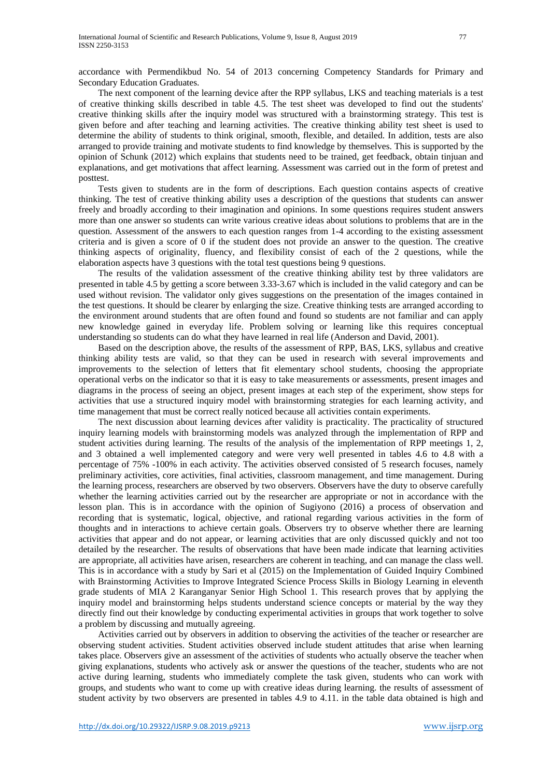accordance with Permendikbud No. 54 of 2013 concerning Competency Standards for Primary and Secondary Education Graduates.

The next component of the learning device after the RPP syllabus, LKS and teaching materials is a test of creative thinking skills described in table 4.5. The test sheet was developed to find out the students' creative thinking skills after the inquiry model was structured with a brainstorming strategy. This test is given before and after teaching and learning activities. The creative thinking ability test sheet is used to determine the ability of students to think original, smooth, flexible, and detailed. In addition, tests are also arranged to provide training and motivate students to find knowledge by themselves. This is supported by the opinion of Schunk (2012) which explains that students need to be trained, get feedback, obtain tinjuan and explanations, and get motivations that affect learning. Assessment was carried out in the form of pretest and posttest.

Tests given to students are in the form of descriptions. Each question contains aspects of creative thinking. The test of creative thinking ability uses a description of the questions that students can answer freely and broadly according to their imagination and opinions. In some questions requires student answers more than one answer so students can write various creative ideas about solutions to problems that are in the question. Assessment of the answers to each question ranges from 1-4 according to the existing assessment criteria and is given a score of 0 if the student does not provide an answer to the question. The creative thinking aspects of originality, fluency, and flexibility consist of each of the 2 questions, while the elaboration aspects have 3 questions with the total test questions being 9 questions.

The results of the validation assessment of the creative thinking ability test by three validators are presented in table 4.5 by getting a score between 3.33-3.67 which is included in the valid category and can be used without revision. The validator only gives suggestions on the presentation of the images contained in the test questions. It should be clearer by enlarging the size. Creative thinking tests are arranged according to the environment around students that are often found and found so students are not familiar and can apply new knowledge gained in everyday life. Problem solving or learning like this requires conceptual understanding so students can do what they have learned in real life (Anderson and David, 2001).

Based on the description above, the results of the assessment of RPP, BAS, LKS, syllabus and creative thinking ability tests are valid, so that they can be used in research with several improvements and improvements to the selection of letters that fit elementary school students, choosing the appropriate operational verbs on the indicator so that it is easy to take measurements or assessments, present images and diagrams in the process of seeing an object, present images at each step of the experiment, show steps for activities that use a structured inquiry model with brainstorming strategies for each learning activity, and time management that must be correct really noticed because all activities contain experiments.

The next discussion about learning devices after validity is practicality. The practicality of structured inquiry learning models with brainstorming models was analyzed through the implementation of RPP and student activities during learning. The results of the analysis of the implementation of RPP meetings 1, 2, and 3 obtained a well implemented category and were very well presented in tables 4.6 to 4.8 with a percentage of 75% -100% in each activity. The activities observed consisted of 5 research focuses, namely preliminary activities, core activities, final activities, classroom management, and time management. During the learning process, researchers are observed by two observers. Observers have the duty to observe carefully whether the learning activities carried out by the researcher are appropriate or not in accordance with the lesson plan. This is in accordance with the opinion of Sugiyono (2016) a process of observation and recording that is systematic, logical, objective, and rational regarding various activities in the form of thoughts and in interactions to achieve certain goals. Observers try to observe whether there are learning activities that appear and do not appear, or learning activities that are only discussed quickly and not too detailed by the researcher. The results of observations that have been made indicate that learning activities are appropriate, all activities have arisen, researchers are coherent in teaching, and can manage the class well. This is in accordance with a study by Sari et al (2015) on the Implementation of Guided Inquiry Combined with Brainstorming Activities to Improve Integrated Science Process Skills in Biology Learning in eleventh grade students of MIA 2 Karanganyar Senior High School 1. This research proves that by applying the inquiry model and brainstorming helps students understand science concepts or material by the way they directly find out their knowledge by conducting experimental activities in groups that work together to solve a problem by discussing and mutually agreeing.

Activities carried out by observers in addition to observing the activities of the teacher or researcher are observing student activities. Student activities observed include student attitudes that arise when learning takes place. Observers give an assessment of the activities of students who actually observe the teacher when giving explanations, students who actively ask or answer the questions of the teacher, students who are not active during learning, students who immediately complete the task given, students who can work with groups, and students who want to come up with creative ideas during learning. the results of assessment of student activity by two observers are presented in tables 4.9 to 4.11. in the table data obtained is high and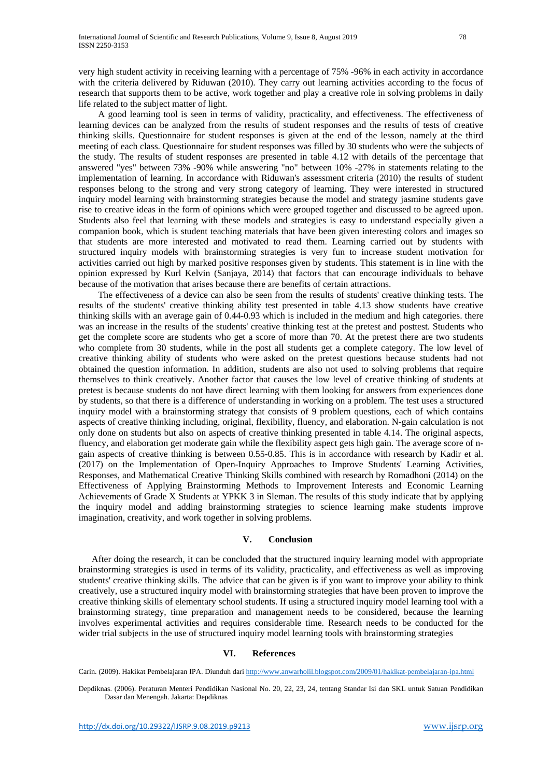very high student activity in receiving learning with a percentage of 75% -96% in each activity in accordance with the criteria delivered by Riduwan (2010). They carry out learning activities according to the focus of research that supports them to be active, work together and play a creative role in solving problems in daily life related to the subject matter of light.

A good learning tool is seen in terms of validity, practicality, and effectiveness. The effectiveness of learning devices can be analyzed from the results of student responses and the results of tests of creative thinking skills. Questionnaire for student responses is given at the end of the lesson, namely at the third meeting of each class. Questionnaire for student responses was filled by 30 students who were the subjects of the study. The results of student responses are presented in table 4.12 with details of the percentage that answered "yes" between 73% -90% while answering "no" between 10% -27% in statements relating to the implementation of learning. In accordance with Riduwan's assessment criteria (2010) the results of student responses belong to the strong and very strong category of learning. They were interested in structured inquiry model learning with brainstorming strategies because the model and strategy jasmine students gave rise to creative ideas in the form of opinions which were grouped together and discussed to be agreed upon. Students also feel that learning with these models and strategies is easy to understand especially given a companion book, which is student teaching materials that have been given interesting colors and images so that students are more interested and motivated to read them. Learning carried out by students with structured inquiry models with brainstorming strategies is very fun to increase student motivation for activities carried out high by marked positive responses given by students. This statement is in line with the opinion expressed by Kurl Kelvin (Sanjaya, 2014) that factors that can encourage individuals to behave because of the motivation that arises because there are benefits of certain attractions.

The effectiveness of a device can also be seen from the results of students' creative thinking tests. The results of the students' creative thinking ability test presented in table 4.13 show students have creative thinking skills with an average gain of 0.44-0.93 which is included in the medium and high categories. there was an increase in the results of the students' creative thinking test at the pretest and posttest. Students who get the complete score are students who get a score of more than 70. At the pretest there are two students who complete from 30 students, while in the post all students get a complete category. The low level of creative thinking ability of students who were asked on the pretest questions because students had not obtained the question information. In addition, students are also not used to solving problems that require themselves to think creatively. Another factor that causes the low level of creative thinking of students at pretest is because students do not have direct learning with them looking for answers from experiences done by students, so that there is a difference of understanding in working on a problem. The test uses a structured inquiry model with a brainstorming strategy that consists of 9 problem questions, each of which contains aspects of creative thinking including, original, flexibility, fluency, and elaboration. N-gain calculation is not only done on students but also on aspects of creative thinking presented in table 4.14. The original aspects, fluency, and elaboration get moderate gain while the flexibility aspect gets high gain. The average score of ngain aspects of creative thinking is between 0.55-0.85. This is in accordance with research by Kadir et al. (2017) on the Implementation of Open-Inquiry Approaches to Improve Students' Learning Activities, Responses, and Mathematical Creative Thinking Skills combined with research by Romadhoni (2014) on the Effectiveness of Applying Brainstorming Methods to Improvement Interests and Economic Learning Achievements of Grade X Students at YPKK 3 in Sleman. The results of this study indicate that by applying the inquiry model and adding brainstorming strategies to science learning make students improve imagination, creativity, and work together in solving problems.

## **V. Conclusion**

After doing the research, it can be concluded that the structured inquiry learning model with appropriate brainstorming strategies is used in terms of its validity, practicality, and effectiveness as well as improving students' creative thinking skills. The advice that can be given is if you want to improve your ability to think creatively, use a structured inquiry model with brainstorming strategies that have been proven to improve the creative thinking skills of elementary school students. If using a structured inquiry model learning tool with a brainstorming strategy, time preparation and management needs to be considered, because the learning involves experimental activities and requires considerable time. Research needs to be conducted for the wider trial subjects in the use of structured inquiry model learning tools with brainstorming strategies

#### **VI. References**

Carin. (2009). Hakikat Pembelajaran IPA. Diunduh dar[i http://www.anwarholil.blogspot.com/2009/01/hakikat-pembelajaran-ipa.html](http://www.anwarholil.blogspot.com/2009/01/hakikat-pembelajaran-ipa.html)

Depdiknas. (2006). Peraturan Menteri Pendidikan Nasional No. 20, 22, 23, 24, tentang Standar Isi dan SKL untuk Satuan Pendidikan Dasar dan Menengah. Jakarta: Depdiknas